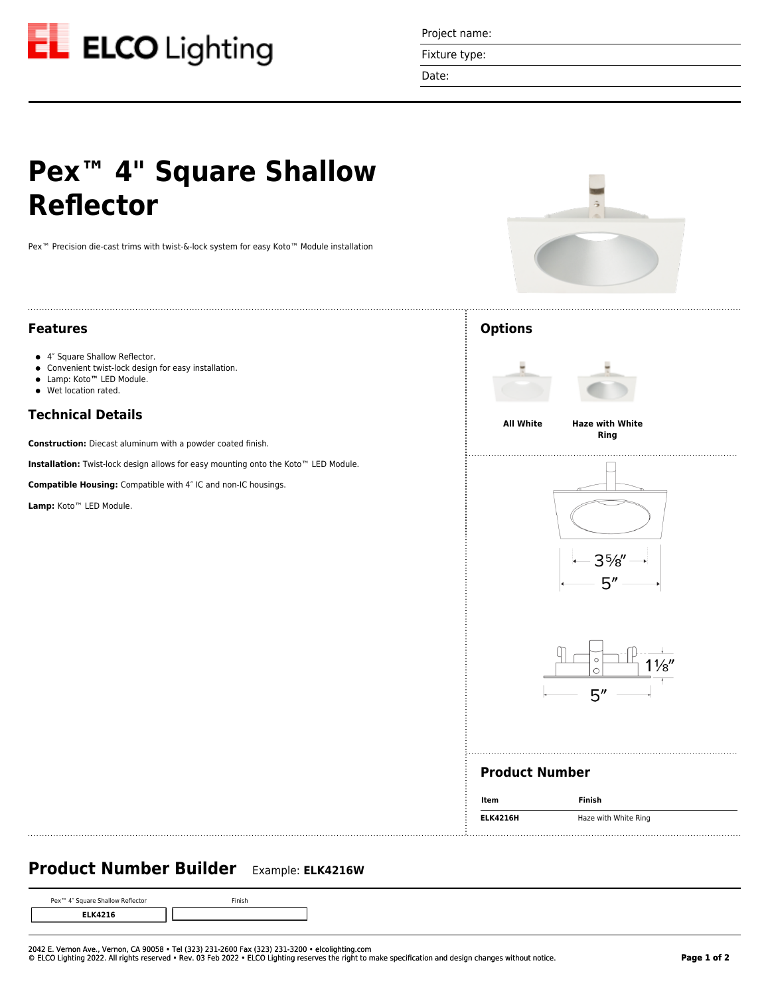

Project name:

Fixture type:

Date:

# **Options** Lamp: Koto**™** LED Module. **All White Haze with White Ring**  $3\frac{5}{8}$  $5''$  $\circ$  $5''$ **Product Number Item Finish Product Number Builder** Example: **ELK4216W** Pex™ 4″ Square Shallow Reflector Finish**ELK4216** 2042 E. Vernon Ave., Vernon, CA 90058 • Tel (323) 231-2600 Fax (323) 231-3200 • elcolighting.com © ELCO Lighting 2022. All rights reserved • Rev. 03 Feb 2022 • ELCO Lighting reserves the right to make specification and design changes without notice. **Page 1 of 2**







| Item            | Finish               |
|-----------------|----------------------|
| <b>ELK4216H</b> | Haze with White Ring |

# **Features**

● 4″ Square Shallow Reflector.

**Reflector**

- Convenient twist-lock design for easy installation.
- $\bullet$

### $\bullet$  Wet location rated.

## **Technical Details**

**Construction:** Diecast aluminum with a powder coated finish.

**Installation:** Twist-lock design allows for easy mounting onto the Koto™ LED Module.

**Pex™ 4" Square Shallow**

Pex<sup>™</sup> Precision die-cast trims with twist-&-lock system for easy Koto™ Module installation

**Compatible Housing:** Compatible with 4″ IC and non-IC housings.

**Lamp:** Koto™ LED Module.